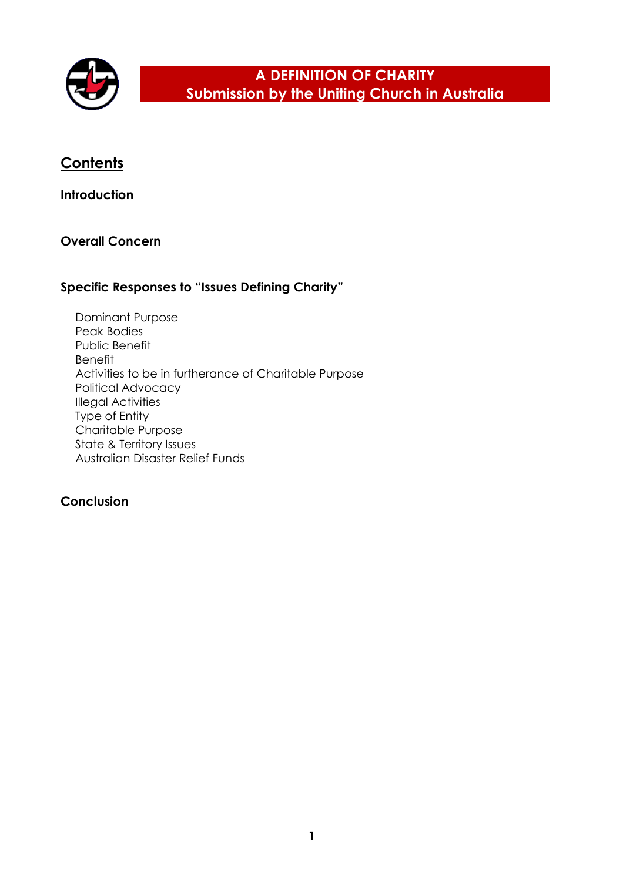

## **Contents**

**Introduction**

 **Overall Concern**

### **Specific Responses to "Issues Defining Charity"**

 Dominant Purpose Peak Bodies Public Benefit Benefit Activities to be in furtherance of Charitable Purpose Political Advocacy Illegal Activities Type of Entity Charitable Purpose State & Territory Issues Australian Disaster Relief Funds

#### **Conclusion**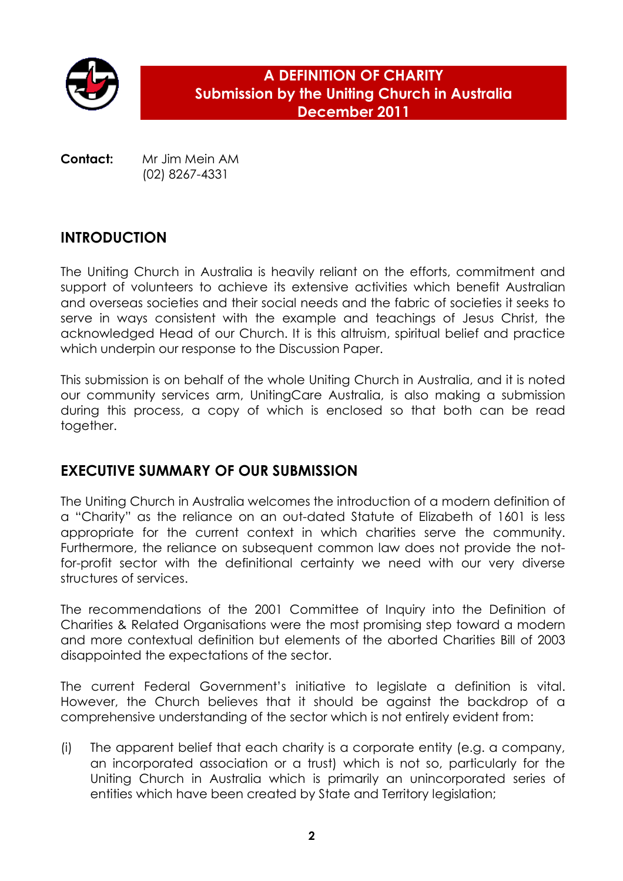

**Contact:** Mr Jim Mein AM (02) 8267-4331

# **INTRODUCTION**

 The Uniting Church in Australia is heavily reliant on the efforts, commitment and support of volunteers to achieve its extensive activities which benefit Australian and overseas societies and their social needs and the fabric of societies it seeks to serve in ways consistent with the example and teachings of Jesus Christ, the acknowledged Head of our Church. It is this altruism, spiritual belief and practice which underpin our response to the Discussion Paper.

 This submission is on behalf of the whole Uniting Church in Australia, and it is noted our community services arm, UnitingCare Australia, is also making a submission during this process, a copy of which is enclosed so that both can be read together.

## **EXECUTIVE SUMMARY OF OUR SUBMISSION**

 The Uniting Church in Australia welcomes the introduction of a modern definition of a "Charity" as the reliance on an out-dated Statute of Elizabeth of 1601 is less appropriate for the current context in which charities serve the community. Furthermore, the reliance on subsequent common law does not provide the notfor-profit sector with the definitional certainty we need with our very diverse structures of services.

 The recommendations of the 2001 Committee of Inquiry into the Definition of Charities & Related Organisations were the most promising step toward a modern and more contextual definition but elements of the aborted Charities Bill of 2003 disappointed the expectations of the sector.

 The current Federal Government's initiative to legislate a definition is vital. However, the Church believes that it should be against the backdrop of a comprehensive understanding of the sector which is not entirely evident from:

 (i) The apparent belief that each charity is a corporate entity (e.g. a company, an incorporated association or a trust) which is not so, particularly for the Uniting Church in Australia which is primarily an unincorporated series of entities which have been created by State and Territory legislation;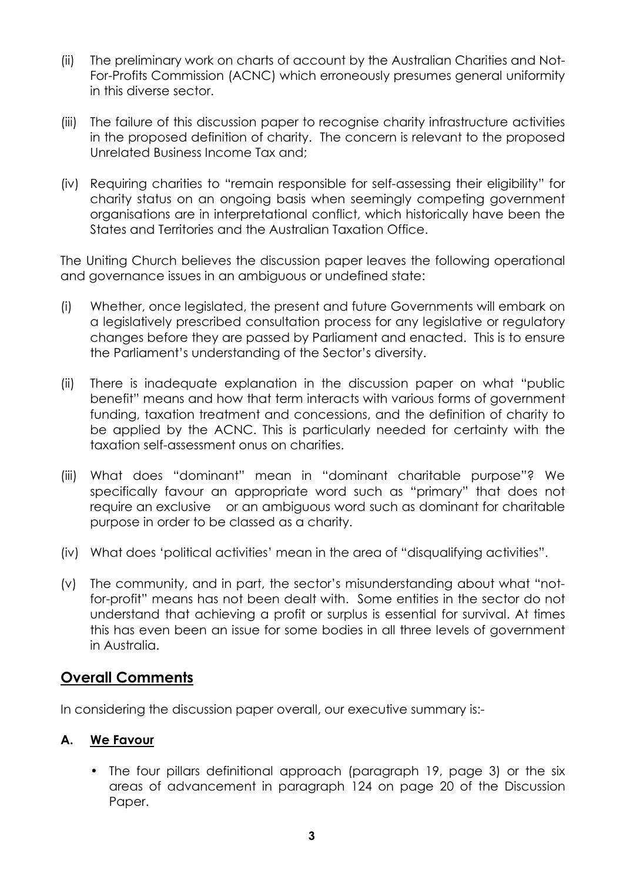- (ii) The preliminary work on charts of account by the Australian Charities and Not-For-Profits Commission (ACNC) which erroneously presumes general uniformity in this diverse sector.
- (iii) The failure of this discussion paper to recognise charity infrastructure activities in the proposed definition of charity. The concern is relevant to the proposed Unrelated Business Income Tax and;
- (iv) Requiring charities to "remain responsible for self-assessing their eligibility" for charity status on an ongoing basis when seemingly competing government organisations are in interpretational conflict, which historically have been the States and Territories and the Australian Taxation Office.

 The Uniting Church believes the discussion paper leaves the following operational and governance issues in an ambiguous or undefined state:

- (i) Whether, once legislated, the present and future Governments will embark on a legislatively prescribed consultation process for any legislative or regulatory changes before they are passed by Parliament and enacted. This is to ensure the Parliament's understanding of the Sector's diversity.
- (ii) There is inadequate explanation in the discussion paper on what "public benefit" means and how that term interacts with various forms of government funding, taxation treatment and concessions, and the definition of charity to be applied by the ACNC. This is particularly needed for certainty with the taxation self-assessment onus on charities.
- (iii) What does "dominant" mean in "dominant charitable purpose"? We specifically favour an appropriate word such as "primary" that does not require an exclusive or an ambiguous word such as dominant for charitable purpose in order to be classed as a charity.
- (iv) What does 'political activities' mean in the area of "disqualifying activities".
- (v) The community, and in part, the sector's misunderstanding about what "notfor-profit" means has not been dealt with. Some entities in the sector do not understand that achieving a profit or surplus is essential for survival. At times this has even been an issue for some bodies in all three levels of government in Australia.

# **Overall Comments**

In considering the discussion paper overall, our executive summary is:

### **A. We Favour**

• The four pillars definitional approach (paragraph 19, page 3) or the six areas of advancement in paragraph 124 on page 20 of the Discussion Paper.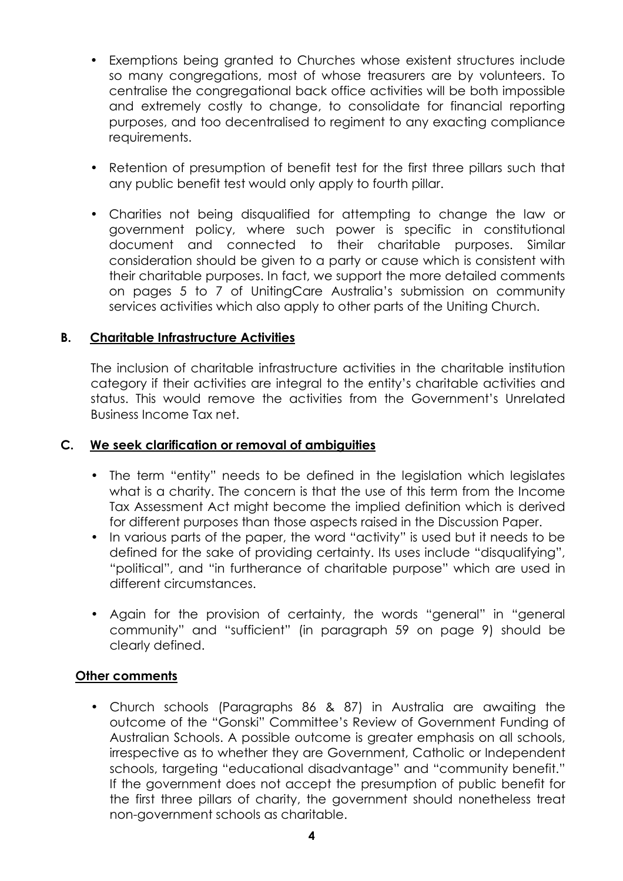- • Exemptions being granted to Churches whose existent structures include so many congregations, most of whose treasurers are by volunteers. To centralise the congregational back office activities will be both impossible and extremely costly to change, to consolidate for financial reporting purposes, and too decentralised to regiment to any exacting compliance requirements.
- • Retention of presumption of benefit test for the first three pillars such that any public benefit test would only apply to fourth pillar.
- Charities not being disqualified for attempting to change the law or government policy, where such power is specific in constitutional document and connected to their charitable purposes. Similar consideration should be given to a party or cause which is consistent with their charitable purposes. In fact, we support the more detailed comments on pages 5 to 7 of UnitingCare Australia's submission on community services activities which also apply to other parts of the Uniting Church.

### **B. Charitable Infrastructure Activities**

 The inclusion of charitable infrastructure activities in the charitable institution category if their activities are integral to the entity's charitable activities and status. This would remove the activities from the Government's Unrelated  Business Income Tax net.

#### **C. We seek clarification or removal of ambiguities**

- The term "entity" needs to be defined in the legislation which legislates what is a charity. The concern is that the use of this term from the Income Tax Assessment Act might become the implied definition which is derived for different purposes than those aspects raised in the Discussion Paper.
- • In various parts of the paper, the word "activity" is used but it needs to be defined for the sake of providing certainty. Its uses include "disqualifying", "political", and "in furtherance of charitable purpose" which are used in different circumstances.
- • Again for the provision of certainty, the words "general" in "general community" and "sufficient" (in paragraph 59 on page 9) should be clearly defined.

#### **Other comments**

 • Church schools (Paragraphs 86 & 87) in Australia are awaiting the outcome of the "Gonski" Committee's Review of Government Funding of Australian Schools. A possible outcome is greater emphasis on all schools, irrespective as to whether they are Government, Catholic or Independent schools, targeting "educational disadvantage" and "community benefit." If the government does not accept the presumption of public benefit for the first three pillars of charity, the government should nonetheless treat non-government schools as charitable.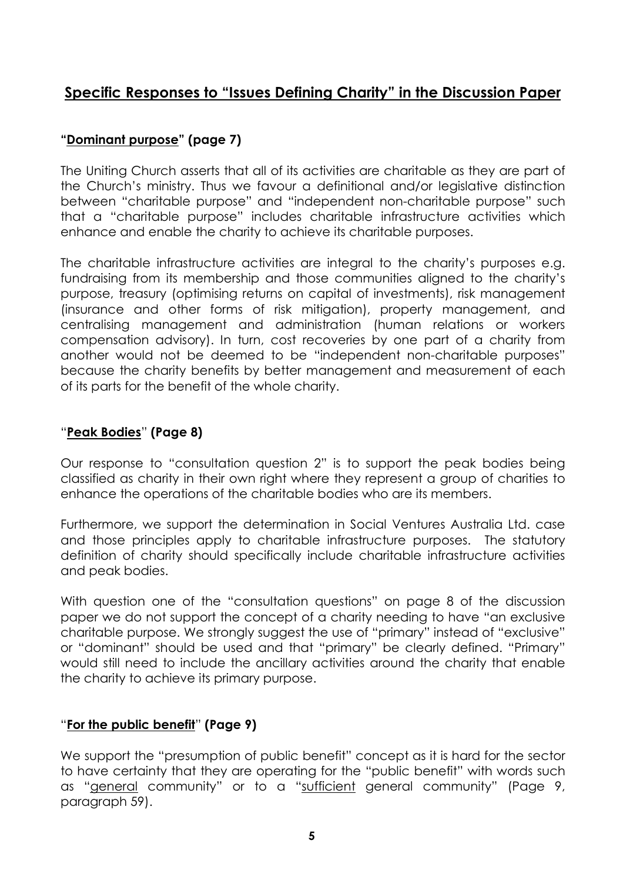## **Specific Responses to "Issues Defining Charity" in the Discussion Paper**

### **"Dominant purpose" (page 7)**

 The Uniting Church asserts that all of its activities are charitable as they are part of the Church's ministry. Thus we favour a definitional and/or legislative distinction between "charitable purpose" and "independent non-charitable purpose" such that a "charitable purpose" includes charitable infrastructure activities which enhance and enable the charity to achieve its charitable purposes.

 The charitable infrastructure activities are integral to the charity's purposes e.g. fundraising from its membership and those communities aligned to the charity's purpose, treasury (optimising returns on capital of investments), risk management (insurance and other forms of risk mitigation), property management, and centralising management and administration (human relations or workers compensation advisory). In turn, cost recoveries by one part of a charity from another would not be deemed to be "independent non-charitable purposes" because the charity benefits by better management and measurement of each of its parts for the benefit of the whole charity.

#### "**Peak Bodies**" **(Page 8)**

 Our response to "consultation question 2" is to support the peak bodies being classified as charity in their own right where they represent a group of charities to enhance the operations of the charitable bodies who are its members.

 Furthermore, we support the determination in Social Ventures Australia Ltd. case and those principles apply to charitable infrastructure purposes. The statutory definition of charity should specifically include charitable infrastructure activities and peak bodies.

 With question one of the "consultation questions" on page 8 of the discussion paper we do not support the concept of a charity needing to have "an exclusive charitable purpose. We strongly suggest the use of "primary" instead of "exclusive" or "dominant" should be used and that "primary" be clearly defined. "Primary" would still need to include the ancillary activities around the charity that enable the charity to achieve its primary purpose.

#### "**For the public benefit**" **(Page 9)**

 We support the "presumption of public benefit" concept as it is hard for the sector to have certainty that they are operating for the "public benefit" with words such as "<u>general</u> community" or to a "<u>sufficient</u> general community" (Page 9, paragraph 59).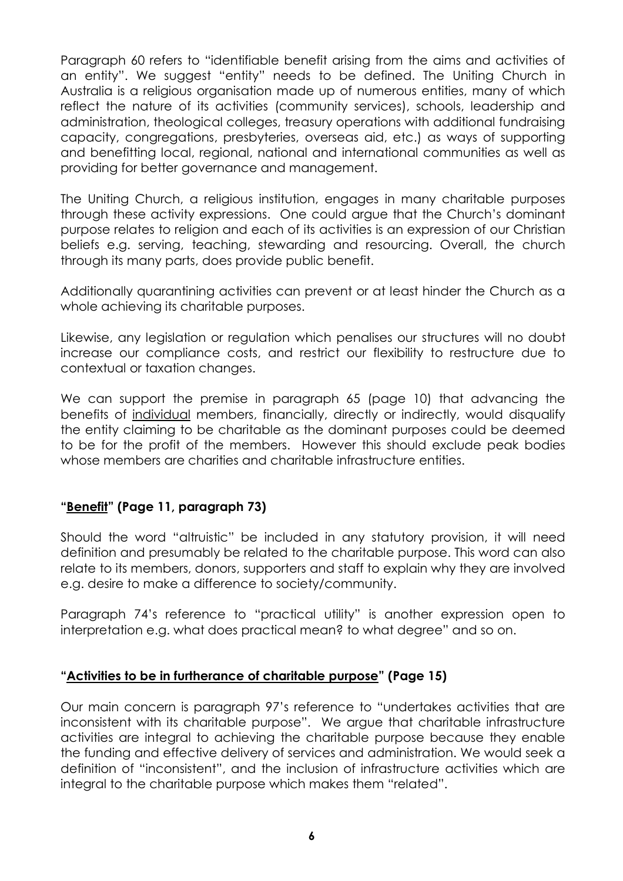Paragraph 60 refers to "identifiable benefit arising from the aims and activities of an entity". We suggest "entity" needs to be defined. The Uniting Church in Australia is a religious organisation made up of numerous entities, many of which reflect the nature of its activities (community services), schools, leadership and administration, theological colleges, treasury operations with additional fundraising capacity, congregations, presbyteries, overseas aid, etc.) as ways of supporting and benefitting local, regional, national and international communities as well as providing for better governance and management.

 The Uniting Church, a religious institution, engages in many charitable purposes through these activity expressions. One could argue that the Church's dominant purpose relates to religion and each of its activities is an expression of our Christian beliefs e.g. serving, teaching, stewarding and resourcing. Overall, the church through its many parts, does provide public benefit.

 Additionally quarantining activities can prevent or at least hinder the Church as a whole achieving its charitable purposes.

 Likewise, any legislation or regulation which penalises our structures will no doubt increase our compliance costs, and restrict our flexibility to restructure due to contextual or taxation changes.

 We can support the premise in paragraph 65 (page 10) that advancing the benefits of individual members, financially, directly or indirectly, would disqualify the entity claiming to be charitable as the dominant purposes could be deemed to be for the profit of the members. However this should exclude peak bodies whose members are charities and charitable infrastructure entities.

### **"Benefit" (Page 11, paragraph 73)**

 Should the word "altruistic" be included in any statutory provision, it will need definition and presumably be related to the charitable purpose. This word can also relate to its members, donors, supporters and staff to explain why they are involved e.g. desire to make a difference to society/community.

 Paragraph 74's reference to "practical utility" is another expression open to interpretation e.g. what does practical mean? to what degree" and so on.

#### **"Activities to be in furtherance of charitable purpose" (Page 15)**

 Our main concern is paragraph 97's reference to "undertakes activities that are inconsistent with its charitable purpose". We argue that charitable infrastructure activities are integral to achieving the charitable purpose because they enable the funding and effective delivery of services and administration. We would seek a definition of "inconsistent", and the inclusion of infrastructure activities which are integral to the charitable purpose which makes them "related".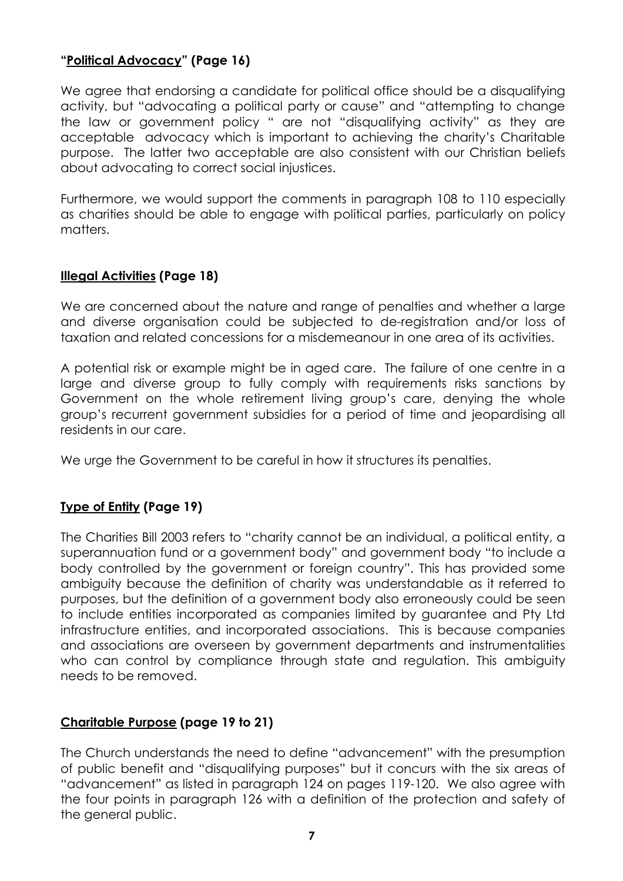### **"Political Advocacy" (Page 16)**

 We agree that endorsing a candidate for political office should be a disqualifying activity, but "advocating a political party or cause" and "attempting to change the law or government policy " are not "disqualifying activity" as they are acceptable advocacy which is important to achieving the charity's Charitable purpose. The latter two acceptable are also consistent with our Christian beliefs about advocating to correct social injustices.

 Furthermore, we would support the comments in paragraph 108 to 110 especially as charities should be able to engage with political parties, particularly on policy matters.

### **Illegal Activities (Page 18)**

 We are concerned about the nature and range of penalties and whether a large and diverse organisation could be subjected to deregistration and/or loss of taxation and related concessions for a misdemeanour in one area of its activities.

 A potential risk or example might be in aged care. The failure of one centre in a large and diverse group to fully comply with requirements risks sanctions by Government on the whole retirement living group's care, denying the whole group's recurrent government subsidies for a period of time and jeopardising all residents in our care.

We urge the Government to be careful in how it structures its penalties.

### **Type of Entity (Page 19)**

 The Charities Bill 2003 refers to "charity cannot be an individual, a political entity, a superannuation fund or a government body" and government body "to include a body controlled by the government or foreign country". This has provided some ambiguity because the definition of charity was understandable as it referred to purposes, but the definition of a government body also erroneously could be seen to include entities incorporated as companies limited by guarantee and Pty Ltd infrastructure entities, and incorporated associations. This is because companies and associations are overseen by government departments and instrumentalities who can control by compliance through state and regulation. This ambiguity needs to be removed.

### **Charitable Purpose (page 19 to 21)**

 The Church understands the need to define "advancement" with the presumption of public benefit and "disqualifying purposes" but it concurs with the six areas of "advancement" as listed in paragraph 124 on pages 119-120. We also agree with the four points in paragraph 126 with a definition of the protection and safety of the general public.